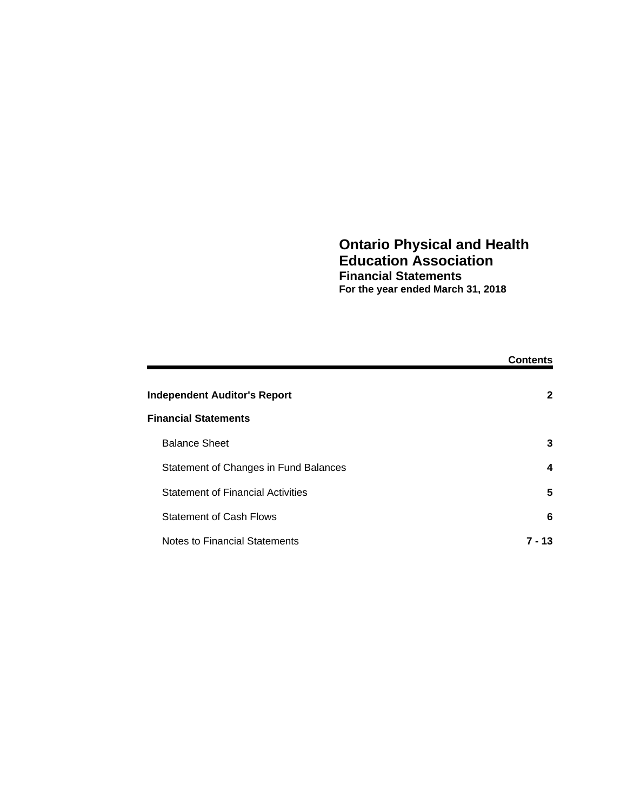### **Ontario Physical and Health Education Association Financial Statements For the year ended March 31, 2018**

|                                          | <b>Contents</b> |
|------------------------------------------|-----------------|
| <b>Independent Auditor's Report</b>      | $\mathbf{2}$    |
| <b>Financial Statements</b>              |                 |
| <b>Balance Sheet</b>                     | 3               |
| Statement of Changes in Fund Balances    | 4               |
| <b>Statement of Financial Activities</b> | 5               |
| <b>Statement of Cash Flows</b>           | 6               |
| Notes to Financial Statements            | 7 - 13          |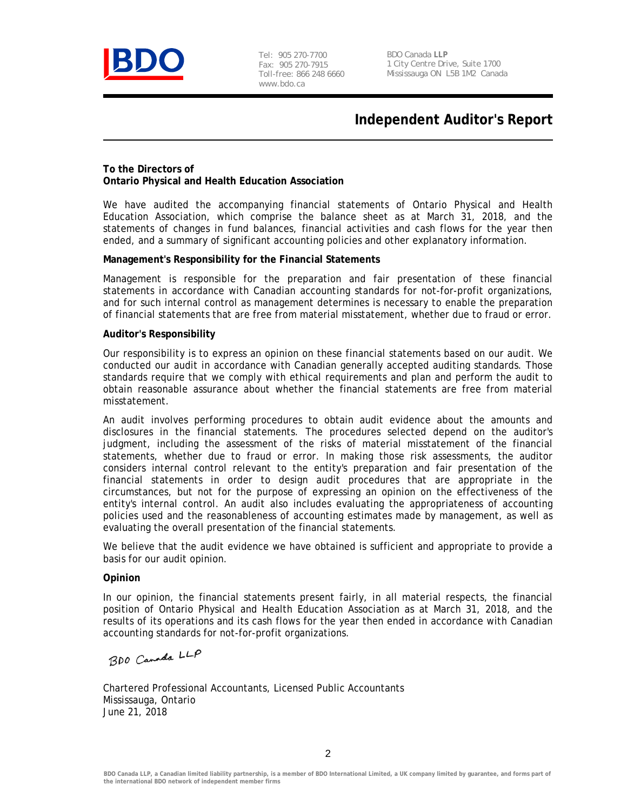

Tel: 905 270-7700 Fax: 905 270-7915 Toll-free: 866 248 6660 www.bdo.ca

BDO Canada **LLP** 1 City Centre Drive, Suite 1700 Mississauga ON L5B 1M2 Canada

### **Independent Auditor's Report**

#### **To the Directors of Ontario Physical and Health Education Association**

We have audited the accompanying financial statements of Ontario Physical and Health Education Association, which comprise the balance sheet as at March 31, 2018, and the statements of changes in fund balances, financial activities and cash flows for the year then ended, and a summary of significant accounting policies and other explanatory information.

#### **Management's Responsibility for the Financial Statements**

Management is responsible for the preparation and fair presentation of these financial statements in accordance with Canadian accounting standards for not-for-profit organizations, and for such internal control as management determines is necessary to enable the preparation of financial statements that are free from material misstatement, whether due to fraud or error.

#### **Auditor's Responsibility**

Our responsibility is to express an opinion on these financial statements based on our audit. We conducted our audit in accordance with Canadian generally accepted auditing standards. Those standards require that we comply with ethical requirements and plan and perform the audit to obtain reasonable assurance about whether the financial statements are free from material misstatement.

An audit involves performing procedures to obtain audit evidence about the amounts and disclosures in the financial statements. The procedures selected depend on the auditor's judgment, including the assessment of the risks of material misstatement of the financial statements, whether due to fraud or error. In making those risk assessments, the auditor considers internal control relevant to the entity's preparation and fair presentation of the financial statements in order to design audit procedures that are appropriate in the circumstances, but not for the purpose of expressing an opinion on the effectiveness of the entity's internal control. An audit also includes evaluating the appropriateness of accounting policies used and the reasonableness of accounting estimates made by management, as well as evaluating the overall presentation of the financial statements.

We believe that the audit evidence we have obtained is sufficient and appropriate to provide a basis for our audit opinion.

#### **Opinion**

In our opinion, the financial statements present fairly, in all material respects, the financial position of Ontario Physical and Health Education Association as at March 31, 2018, and the results of its operations and its cash flows for the year then ended in accordance with Canadian accounting standards for not-for-profit organizations.

BDO Canada LLP

Chartered Professional Accountants, Licensed Public Accountants Mississauga, Ontario June 21, 2018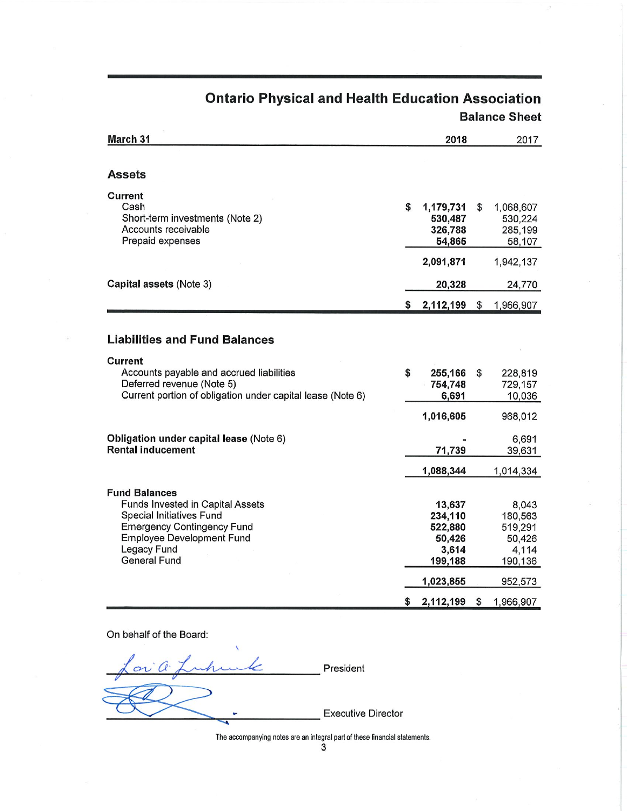| March 31                                                                                                                                                                                            |    | 2018                                                       |    | 2017                                                      |
|-----------------------------------------------------------------------------------------------------------------------------------------------------------------------------------------------------|----|------------------------------------------------------------|----|-----------------------------------------------------------|
| <b>Assets</b>                                                                                                                                                                                       |    |                                                            |    |                                                           |
| <b>Current</b><br>Cash<br>Short-term investments (Note 2)<br>Accounts receivable<br>Prepaid expenses                                                                                                | S  | 1,179,731<br>530,487<br>326,788<br>54,865                  | S  | 1,068,607<br>530,224<br>285,199<br>58,107                 |
|                                                                                                                                                                                                     |    | 2,091,871                                                  |    | 1,942,137                                                 |
| Capital assets (Note 3)                                                                                                                                                                             |    | 20,328                                                     |    | 24,770                                                    |
|                                                                                                                                                                                                     | S. | 2,112,199                                                  | \$ | 1,966,907                                                 |
| <b>Liabilities and Fund Balances</b>                                                                                                                                                                |    |                                                            |    |                                                           |
| Current<br>Accounts payable and accrued liabilities<br>Deferred revenue (Note 5)<br>Current portion of obligation under capital lease (Note 6)                                                      | \$ | 255,166<br>754,748<br>6,691                                | \$ | 228,819<br>729,157<br>10,036                              |
|                                                                                                                                                                                                     |    | 1,016,605                                                  |    | 968,012                                                   |
| Obligation under capital lease (Note 6)<br><b>Rental inducement</b>                                                                                                                                 |    | 71,739                                                     |    | 6,691<br>39,631                                           |
|                                                                                                                                                                                                     |    | 1,088,344                                                  |    | 1,014,334                                                 |
| <b>Fund Balances</b><br>Funds Invested in Capital Assets<br>Special Initiatives Fund<br><b>Emergency Contingency Fund</b><br><b>Employee Development Fund</b><br>Legacy Fund<br><b>General Fund</b> |    | 13,637<br>234,110<br>522,880<br>50,426<br>3,614<br>199,188 |    | 8,043<br>180,563<br>519,291<br>50,426<br>4,114<br>190,136 |
|                                                                                                                                                                                                     |    | 1,023,855                                                  |    | 952,573                                                   |
|                                                                                                                                                                                                     | S  | 2,112,199                                                  | \$ | 1,966,907                                                 |

### **Ontario Physical and Health Education Association Balance Sheet**

On behalf of the Board:

↙ hi President Q  $\sigma$ **Executive Director** 

The accompanying notes are an integral part of these financial statements.<br>3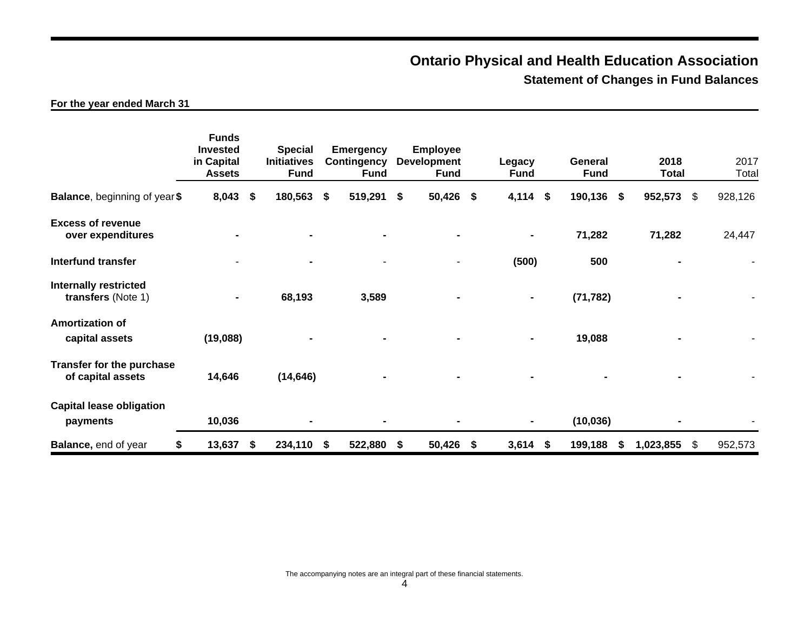### **Ontario Physical and Health Education Association Statement of Changes in Fund Balances**

#### **For the year ended March 31**

|                                                       | <b>Funds</b><br><b>Invested</b><br>in Capital<br><b>Assets</b> |    | <b>Special</b><br><b>Initiatives</b><br><b>Fund</b> |    | <b>Emergency</b><br><b>Contingency</b><br><b>Fund</b> |    |           |  |       | <b>Employee</b><br><b>Fund</b> |           | <b>Development</b> |            | Legacy<br><b>Fund</b> |  | General<br><b>Fund</b> |  | 2018<br><b>Total</b> | 2017<br>Total |
|-------------------------------------------------------|----------------------------------------------------------------|----|-----------------------------------------------------|----|-------------------------------------------------------|----|-----------|--|-------|--------------------------------|-----------|--------------------|------------|-----------------------|--|------------------------|--|----------------------|---------------|
| <b>Balance, beginning of year \$</b>                  | 8,043                                                          | \$ | 180,563                                             | S  | 519,291                                               | S  | 50,426 \$ |  | 4,114 | \$                             | 190,136   | \$                 | 952,573 \$ | 928,126               |  |                        |  |                      |               |
| <b>Excess of revenue</b><br>over expenditures         |                                                                |    |                                                     |    |                                                       |    |           |  |       |                                | 71,282    |                    | 71,282     | 24,447                |  |                        |  |                      |               |
| <b>Interfund transfer</b>                             |                                                                |    |                                                     |    |                                                       |    |           |  | (500) |                                | 500       |                    |            |                       |  |                        |  |                      |               |
| <b>Internally restricted</b><br>transfers (Note 1)    | $\blacksquare$                                                 |    | 68,193                                              |    | 3,589                                                 |    |           |  |       |                                | (71, 782) |                    |            |                       |  |                        |  |                      |               |
| <b>Amortization of</b><br>capital assets              | (19,088)                                                       |    |                                                     |    |                                                       |    |           |  |       |                                | 19,088    |                    |            |                       |  |                        |  |                      |               |
| <b>Transfer for the purchase</b><br>of capital assets | 14,646                                                         |    | (14, 646)                                           |    |                                                       |    |           |  |       |                                |           |                    |            |                       |  |                        |  |                      |               |
| <b>Capital lease obligation</b><br>payments           | 10,036                                                         |    |                                                     |    |                                                       |    |           |  |       |                                | (10, 036) |                    |            |                       |  |                        |  |                      |               |
| Balance, end of year                                  | 13,637                                                         | S  | 234,110                                             | S. | 522,880                                               | \$ | 50,426 \$ |  | 3,614 | - \$                           | 199,188   | æ.                 | 1,023,855  | \$<br>952,573         |  |                        |  |                      |               |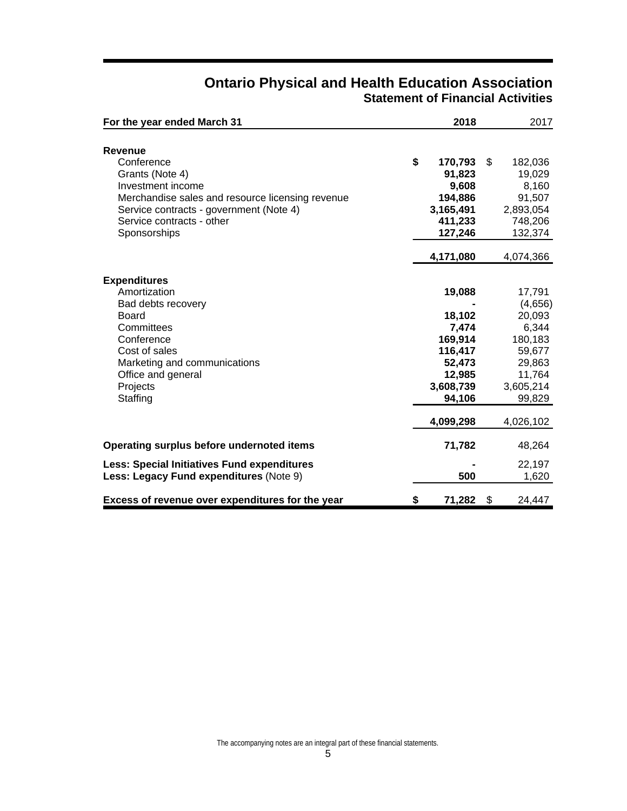### **Ontario Physical and Health Education Association Statement of Financial Activities**

| For the year ended March 31                                                                                                                                                                               | 2018                                                                                                    | 2017                                                                                                              |
|-----------------------------------------------------------------------------------------------------------------------------------------------------------------------------------------------------------|---------------------------------------------------------------------------------------------------------|-------------------------------------------------------------------------------------------------------------------|
| Revenue<br>Conference<br>Grants (Note 4)<br>Investment income<br>Merchandise sales and resource licensing revenue<br>Service contracts - government (Note 4)<br>Service contracts - other<br>Sponsorships | \$<br>170,793<br>91,823<br>9,608<br>194,886<br>3,165,491<br>411,233<br>127,246                          | \$<br>182,036<br>19,029<br>8,160<br>91,507<br>2,893,054<br>748,206<br>132,374                                     |
|                                                                                                                                                                                                           | 4,171,080                                                                                               | 4,074,366                                                                                                         |
| <b>Expenditures</b><br>Amortization<br>Bad debts recovery<br>Board<br>Committees<br>Conference<br>Cost of sales<br>Marketing and communications<br>Office and general<br>Projects<br>Staffing             | 19,088<br>18,102<br>7,474<br>169,914<br>116,417<br>52,473<br>12,985<br>3,608,739<br>94,106<br>4,099,298 | 17,791<br>(4,656)<br>20,093<br>6,344<br>180,183<br>59,677<br>29,863<br>11,764<br>3,605,214<br>99,829<br>4,026,102 |
| Operating surplus before undernoted items                                                                                                                                                                 | 71,782                                                                                                  | 48,264                                                                                                            |
| <b>Less: Special Initiatives Fund expenditures</b><br>Less: Legacy Fund expenditures (Note 9)                                                                                                             | 500                                                                                                     | 22,197<br>1,620                                                                                                   |
| Excess of revenue over expenditures for the year                                                                                                                                                          | \$<br>71.282                                                                                            | \$<br>24,447                                                                                                      |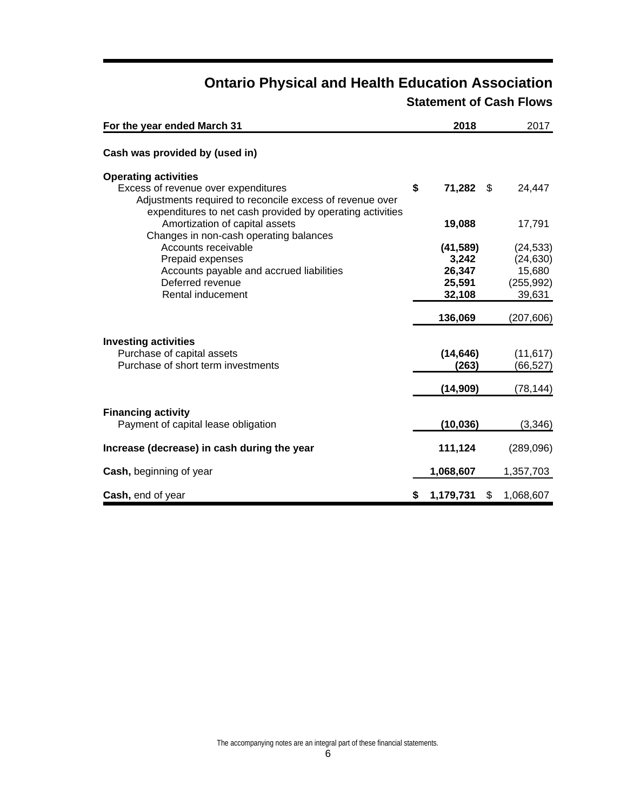# **Ontario Physical and Health Education Association**

**Statement of Cash Flows**

| For the year ended March 31                                                                                                                                  | 2018            | 2017            |
|--------------------------------------------------------------------------------------------------------------------------------------------------------------|-----------------|-----------------|
| Cash was provided by (used in)                                                                                                                               |                 |                 |
| <b>Operating activities</b>                                                                                                                                  |                 |                 |
| Excess of revenue over expenditures<br>Adjustments required to reconcile excess of revenue over<br>expenditures to net cash provided by operating activities | \$<br>71,282    | \$<br>24,447    |
| Amortization of capital assets<br>Changes in non-cash operating balances                                                                                     | 19,088          | 17,791          |
| Accounts receivable                                                                                                                                          | (41, 589)       | (24, 533)       |
| Prepaid expenses                                                                                                                                             | 3,242           | (24, 630)       |
| Accounts payable and accrued liabilities                                                                                                                     | 26,347          | 15,680          |
| Deferred revenue                                                                                                                                             | 25,591          | (255, 992)      |
| Rental inducement                                                                                                                                            | 32,108          | 39,631          |
|                                                                                                                                                              | 136,069         | (207, 606)      |
| <b>Investing activities</b>                                                                                                                                  |                 |                 |
| Purchase of capital assets                                                                                                                                   | (14, 646)       | (11, 617)       |
| Purchase of short term investments                                                                                                                           | (263)           | (66, 527)       |
|                                                                                                                                                              | (14, 909)       | (78,144)        |
|                                                                                                                                                              |                 |                 |
| <b>Financing activity</b>                                                                                                                                    |                 |                 |
| Payment of capital lease obligation                                                                                                                          | (10, 036)       | (3, 346)        |
| Increase (decrease) in cash during the year                                                                                                                  | 111,124         | (289,096)       |
| Cash, beginning of year                                                                                                                                      | 1,068,607       | 1,357,703       |
| Cash, end of year                                                                                                                                            | \$<br>1,179,731 | \$<br>1,068,607 |

The accompanying notes are an integral part of these financial statements.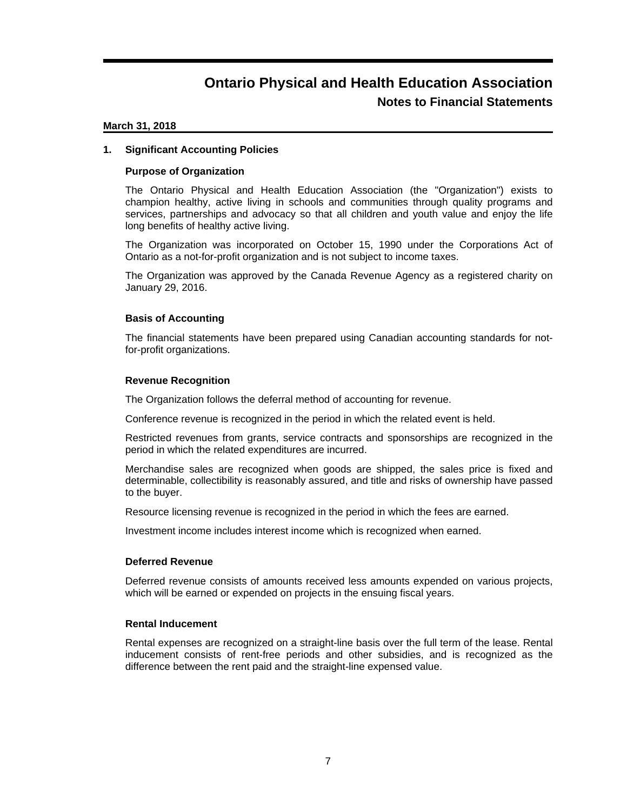#### **March 31, 2018**

#### **1. Significant Accounting Policies**

#### **Purpose of Organization**

The Ontario Physical and Health Education Association (the "Organization") exists to champion healthy, active living in schools and communities through quality programs and services, partnerships and advocacy so that all children and youth value and enjoy the life long benefits of healthy active living.

The Organization was incorporated on October 15, 1990 under the Corporations Act of Ontario as a not-for-profit organization and is not subject to income taxes.

The Organization was approved by the Canada Revenue Agency as a registered charity on January 29, 2016.

#### **Basis of Accounting**

The financial statements have been prepared using Canadian accounting standards for notfor-profit organizations.

#### **Revenue Recognition**

The Organization follows the deferral method of accounting for revenue.

Conference revenue is recognized in the period in which the related event is held.

Restricted revenues from grants, service contracts and sponsorships are recognized in the period in which the related expenditures are incurred.

Merchandise sales are recognized when goods are shipped, the sales price is fixed and determinable, collectibility is reasonably assured, and title and risks of ownership have passed to the buyer.

Resource licensing revenue is recognized in the period in which the fees are earned.

Investment income includes interest income which is recognized when earned.

#### **Deferred Revenue**

Deferred revenue consists of amounts received less amounts expended on various projects, which will be earned or expended on projects in the ensuing fiscal years.

#### **Rental Inducement**

Rental expenses are recognized on a straight-line basis over the full term of the lease. Rental inducement consists of rent-free periods and other subsidies, and is recognized as the difference between the rent paid and the straight-line expensed value.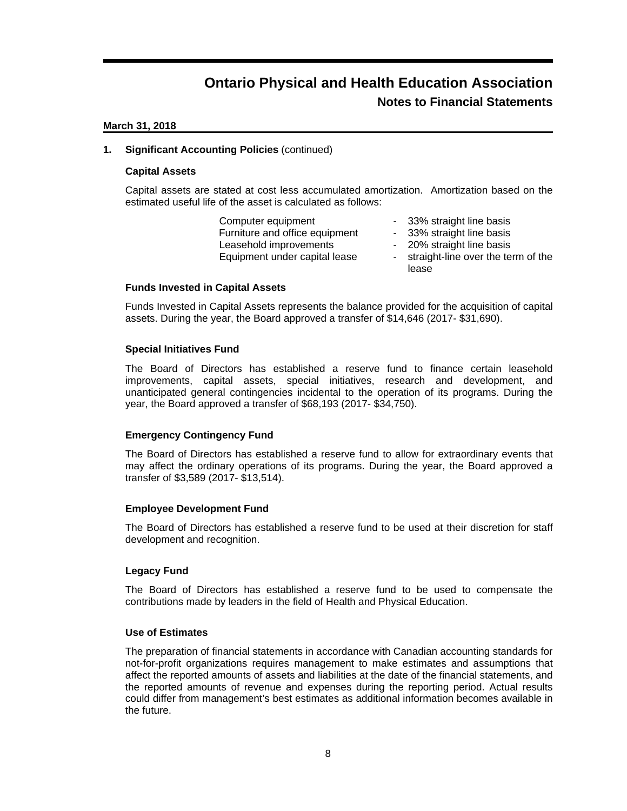#### **March 31, 2018**

#### **1. Significant Accounting Policies** (continued)

#### **Capital Assets**

Capital assets are stated at cost less accumulated amortization. Amortization based on the estimated useful life of the asset is calculated as follows:

> Computer equipment - 33% straight line basis<br>
> Furniture and office equipment - 33% straight line basis Furniture and office equipment - 33% straight line basis Leasehold improvements - 20% straight line basis

- 
- 
- 
- Equipment under capital lease  $\qquad \qquad$  straight-line over the term of the lease

#### **Funds Invested in Capital Assets**

Funds Invested in Capital Assets represents the balance provided for the acquisition of capital assets. During the year, the Board approved a transfer of \$14,646 (2017- \$31,690).

#### **Special Initiatives Fund**

The Board of Directors has established a reserve fund to finance certain leasehold improvements, capital assets, special initiatives, research and development, and unanticipated general contingencies incidental to the operation of its programs. During the year, the Board approved a transfer of \$68,193 (2017- \$34,750).

#### **Emergency Contingency Fund**

The Board of Directors has established a reserve fund to allow for extraordinary events that may affect the ordinary operations of its programs. During the year, the Board approved a transfer of \$3,589 (2017- \$13,514).

#### **Employee Development Fund**

The Board of Directors has established a reserve fund to be used at their discretion for staff development and recognition.

#### **Legacy Fund**

The Board of Directors has established a reserve fund to be used to compensate the contributions made by leaders in the field of Health and Physical Education.

#### **Use of Estimates**

The preparation of financial statements in accordance with Canadian accounting standards for not-for-profit organizations requires management to make estimates and assumptions that affect the reported amounts of assets and liabilities at the date of the financial statements, and the reported amounts of revenue and expenses during the reporting period. Actual results could differ from management's best estimates as additional information becomes available in the future.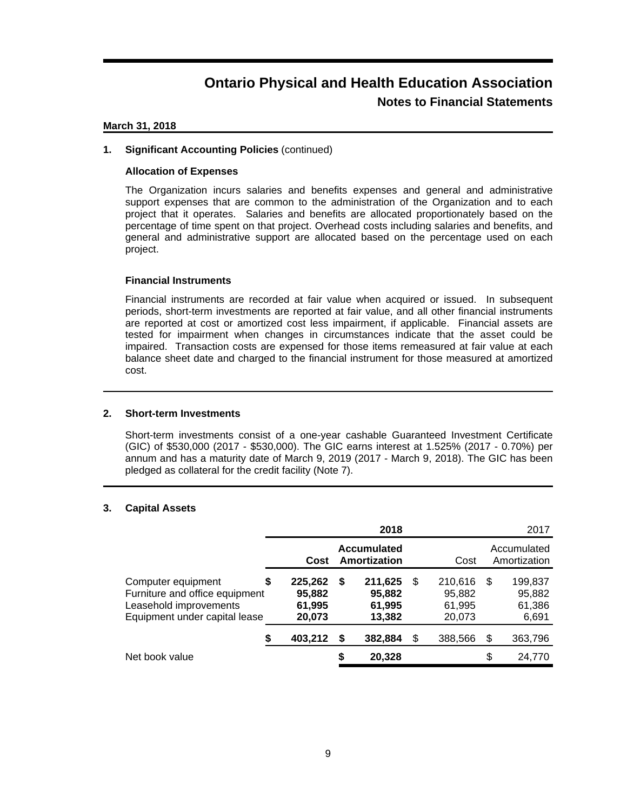#### **March 31, 2018**

#### **1. Significant Accounting Policies** (continued)

#### **Allocation of Expenses**

The Organization incurs salaries and benefits expenses and general and administrative support expenses that are common to the administration of the Organization and to each project that it operates. Salaries and benefits are allocated proportionately based on the percentage of time spent on that project. Overhead costs including salaries and benefits, and general and administrative support are allocated based on the percentage used on each project.

#### **Financial Instruments**

Financial instruments are recorded at fair value when acquired or issued. In subsequent periods, short-term investments are reported at fair value, and all other financial instruments are reported at cost or amortized cost less impairment, if applicable. Financial assets are tested for impairment when changes in circumstances indicate that the asset could be impaired. Transaction costs are expensed for those items remeasured at fair value at each balance sheet date and charged to the financial instrument for those measured at amortized cost.

#### **2. Short-term Investments**

Short-term investments consist of a one-year cashable Guaranteed Investment Certificate (GIC) of \$530,000 (2017 - \$530,000). The GIC earns interest at 1.525% (2017 - 0.70%) per annum and has a maturity date of March 9, 2019 (2017 - March 9, 2018). The GIC has been pledged as collateral for the credit facility (Note 7).

#### **3. Capital Assets**

|                                                                                                                 |    |                                       |   | 2018                                  |                                             |     | 2017                                 |
|-----------------------------------------------------------------------------------------------------------------|----|---------------------------------------|---|---------------------------------------|---------------------------------------------|-----|--------------------------------------|
|                                                                                                                 |    | Cost                                  |   | <b>Accumulated</b><br>Amortization    | Cost                                        |     | Accumulated<br>Amortization          |
| Computer equipment<br>Furniture and office equipment<br>Leasehold improvements<br>Equipment under capital lease | S  | 225,262<br>95,882<br>61,995<br>20,073 | S | 211,625<br>95,882<br>61,995<br>13,382 | \$<br>210,616<br>95,882<br>61,995<br>20,073 | S   | 199,837<br>95,882<br>61,386<br>6,691 |
|                                                                                                                 | \$ | 403,212                               | S | 382,884                               | \$<br>388,566                               | \$. | 363,796                              |
| Net book value                                                                                                  |    |                                       | S | 20.328                                |                                             | \$  | 24.770                               |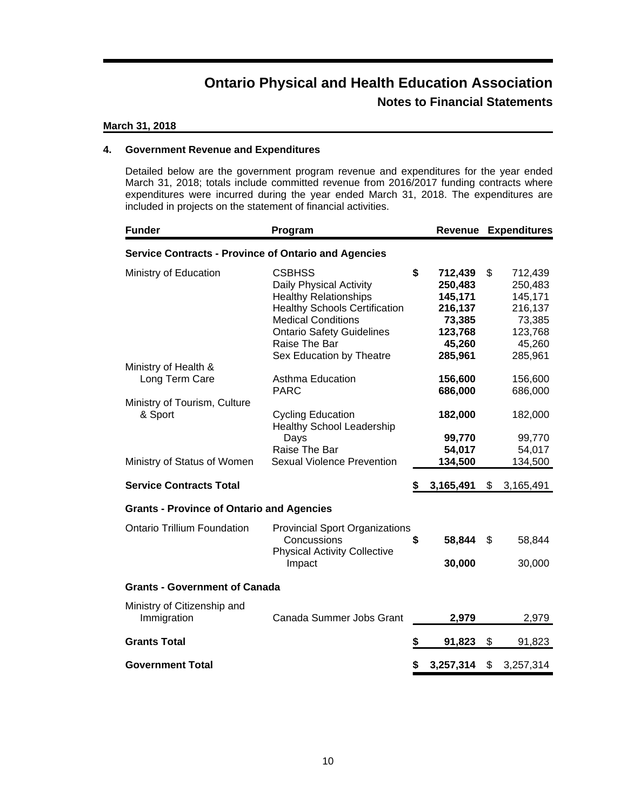#### **March 31, 2018**

#### **4. Government Revenue and Expenditures**

Detailed below are the government program revenue and expenditures for the year ended March 31, 2018; totals include committed revenue from 2016/2017 funding contracts where expenditures were incurred during the year ended March 31, 2018. The expenditures are included in projects on the statement of financial activities.

| <b>Funder</b>                                               | Program                                                                                                                                                                                                                               |                                                                                          | <b>Revenue Expenditures</b>                                                              |
|-------------------------------------------------------------|---------------------------------------------------------------------------------------------------------------------------------------------------------------------------------------------------------------------------------------|------------------------------------------------------------------------------------------|------------------------------------------------------------------------------------------|
| <b>Service Contracts - Province of Ontario and Agencies</b> |                                                                                                                                                                                                                                       |                                                                                          |                                                                                          |
| Ministry of Education                                       | <b>CSBHSS</b><br><b>Daily Physical Activity</b><br><b>Healthy Relationships</b><br><b>Healthy Schools Certification</b><br><b>Medical Conditions</b><br><b>Ontario Safety Guidelines</b><br>Raise The Bar<br>Sex Education by Theatre | \$<br>712,439<br>250,483<br>145,171<br>216,137<br>73,385<br>123,768<br>45,260<br>285,961 | \$<br>712,439<br>250,483<br>145,171<br>216,137<br>73,385<br>123,768<br>45,260<br>285,961 |
| Ministry of Health &<br>Long Term Care                      | Asthma Education<br><b>PARC</b>                                                                                                                                                                                                       | 156,600<br>686,000                                                                       | 156,600<br>686,000                                                                       |
| Ministry of Tourism, Culture<br>& Sport                     | <b>Cycling Education</b><br><b>Healthy School Leadership</b>                                                                                                                                                                          | 182,000                                                                                  | 182,000                                                                                  |
| Ministry of Status of Women                                 | Days<br>Raise The Bar<br><b>Sexual Violence Prevention</b>                                                                                                                                                                            | 99,770<br>54,017<br>134,500                                                              | 99,770<br>54,017<br>134,500                                                              |
| <b>Service Contracts Total</b>                              |                                                                                                                                                                                                                                       | \$<br>3,165,491                                                                          | \$<br>3,165,491                                                                          |
| <b>Grants - Province of Ontario and Agencies</b>            |                                                                                                                                                                                                                                       |                                                                                          |                                                                                          |
| <b>Ontario Trillium Foundation</b>                          | <b>Provincial Sport Organizations</b><br>Concussions<br><b>Physical Activity Collective</b><br>Impact                                                                                                                                 | \$<br>58,844<br>30,000                                                                   | \$<br>58,844<br>30,000                                                                   |
| <b>Grants - Government of Canada</b>                        |                                                                                                                                                                                                                                       |                                                                                          |                                                                                          |
| Ministry of Citizenship and<br>Immigration                  | Canada Summer Jobs Grant                                                                                                                                                                                                              | 2,979                                                                                    | 2,979                                                                                    |
| <b>Grants Total</b>                                         |                                                                                                                                                                                                                                       | 91,823                                                                                   | \$<br>91,823                                                                             |
| <b>Government Total</b>                                     |                                                                                                                                                                                                                                       | \$<br>3,257,314                                                                          | \$<br>3,257,314                                                                          |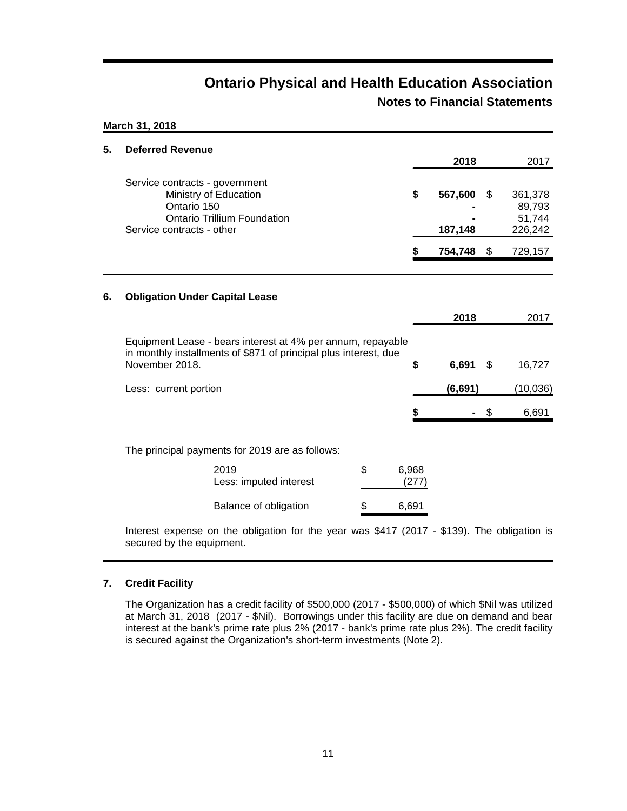### **Ontario Physical and Health Education Association**

### **Notes to Financial Statements**

#### **March 31, 2018**

| <b>Deferred Revenue</b>            |   |                |   |         |
|------------------------------------|---|----------------|---|---------|
|                                    |   | 2018           |   | 2017    |
| Service contracts - government     |   |                |   |         |
| Ministry of Education              | S | 567,600        | S | 361,378 |
| Ontario 150                        |   | $\blacksquare$ |   | 89,793  |
| <b>Ontario Trillium Foundation</b> |   | $\blacksquare$ |   | 51,744  |
| Service contracts - other          |   | 187,148        |   | 226,242 |
|                                    |   | 754.748        |   | 729,157 |
|                                    |   |                |   |         |

#### **6. Obligation Under Capital Lease**

|                                                                                                                                 |                    | 2018     | 2017         |
|---------------------------------------------------------------------------------------------------------------------------------|--------------------|----------|--------------|
| Equipment Lease - bears interest at 4% per annum, repayable<br>in monthly installments of \$871 of principal plus interest, due |                    |          |              |
| November 2018.                                                                                                                  | \$                 | 6,691    | \$<br>16,727 |
| Less: current portion                                                                                                           |                    | (6, 691) | (10,036)     |
|                                                                                                                                 |                    |          | 6,691        |
|                                                                                                                                 |                    |          |              |
| The principal payments for 2019 are as follows:                                                                                 |                    |          |              |
| 2019<br>الممعملما المملان ممما يممما                                                                                            | \$<br>6,968<br>ハフフ |          |              |

| Less: imputed interest |   | (277) |
|------------------------|---|-------|
| Balance of obligation  | S | 6.691 |

Interest expense on the obligation for the year was \$417 (2017 - \$139). The obligation is secured by the equipment.

#### **7. Credit Facility**

The Organization has a credit facility of \$500,000 (2017 - \$500,000) of which \$Nil was utilized at March 31, 2018 (2017 - \$Nil). Borrowings under this facility are due on demand and bear interest at the bank's prime rate plus 2% (2017 - bank's prime rate plus 2%). The credit facility is secured against the Organization's short-term investments (Note 2).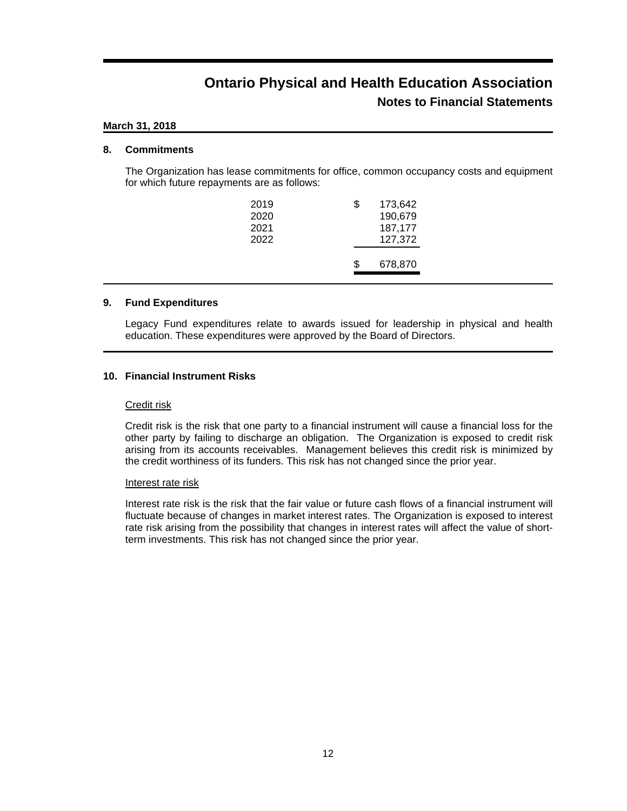#### **March 31, 2018**

#### **8. Commitments**

The Organization has lease commitments for office, common occupancy costs and equipment for which future repayments are as follows:

| 2019<br>2020<br>2021<br>2022 | \$ | 173,642<br>190,679<br>187,177<br>127,372 |
|------------------------------|----|------------------------------------------|
|                              | S  | 678,870                                  |
|                              |    |                                          |

#### **9. Fund Expenditures**

Legacy Fund expenditures relate to awards issued for leadership in physical and health education. These expenditures were approved by the Board of Directors.

#### **10. Financial Instrument Risks**

#### Credit risk

Credit risk is the risk that one party to a financial instrument will cause a financial loss for the other party by failing to discharge an obligation. The Organization is exposed to credit risk arising from its accounts receivables. Management believes this credit risk is minimized by the credit worthiness of its funders. This risk has not changed since the prior year.

#### Interest rate risk

Interest rate risk is the risk that the fair value or future cash flows of a financial instrument will fluctuate because of changes in market interest rates. The Organization is exposed to interest rate risk arising from the possibility that changes in interest rates will affect the value of shortterm investments. This risk has not changed since the prior year.